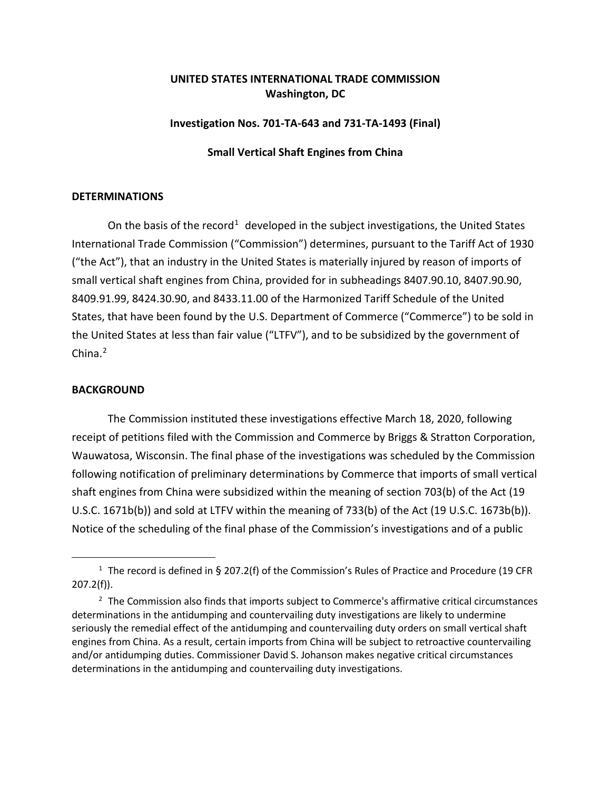# **UNITED STATES INTERNATIONAL TRADE COMMISSION Washington, DC**

#### **Investigation Nos. 701-TA-643 and 731-TA-1493 (Final)**

## **Small Vertical Shaft Engines from China**

#### **DETERMINATIONS**

On the basis of the record<sup>[1](#page-0-0)</sup> developed in the subject investigations, the United States International Trade Commission ("Commission") determines, pursuant to the Tariff Act of 1930 ("the Act"), that an industry in the United States is materially injured by reason of imports of small vertical shaft engines from China, provided for in subheadings 8407.90.10, 8407.90.90, 8409.91.99, 8424.30.90, and 8433.11.00 of the Harmonized Tariff Schedule of the United States, that have been found by the U.S. Department of Commerce ("Commerce") to be sold in the United States at less than fair value ("LTFV"), and to be subsidized by the government of China. [2](#page-0-1)

## **BACKGROUND**

The Commission instituted these investigations effective March 18, 2020, following receipt of petitions filed with the Commission and Commerce by Briggs & Stratton Corporation, Wauwatosa, Wisconsin. The final phase of the investigations was scheduled by the Commission following notification of preliminary determinations by Commerce that imports of small vertical shaft engines from China were subsidized within the meaning of section 703(b) of the Act (19 U.S.C. 1671b(b)) and sold at LTFV within the meaning of 733(b) of the Act (19 U.S.C. 1673b(b)). Notice of the scheduling of the final phase of the Commission's investigations and of a public

<span id="page-0-0"></span><sup>&</sup>lt;sup>1</sup> The record is defined in § 207.2(f) of the Commission's Rules of Practice and Procedure (19 CFR 207.2(f)).

<span id="page-0-1"></span> $2$  The Commission also finds that imports subject to Commerce's affirmative critical circumstances determinations in the antidumping and countervailing duty investigations are likely to undermine seriously the remedial effect of the antidumping and countervailing duty orders on small vertical shaft engines from China. As a result, certain imports from China will be subject to retroactive countervailing and/or antidumping duties. Commissioner David S. Johanson makes negative critical circumstances determinations in the antidumping and countervailing duty investigations.